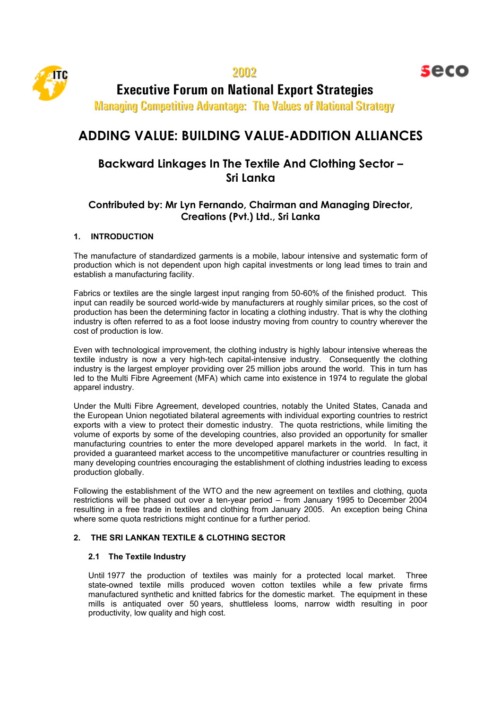



**Executive Forum on National Export Strategies** 

seco

Managing Competitive Advantage: The Values of National Strategy

# **ADDING VALUE: BUILDING VALUE-ADDITION ALLIANCES**

## **Backward Linkages In The Textile And Clothing Sector – Sri Lanka**

## **Contributed by: Mr Lyn Fernando, Chairman and Managing Director, Creations (Pvt.) Ltd., Sri Lanka**

## **1. INTRODUCTION**

The manufacture of standardized garments is a mobile, labour intensive and systematic form of production which is not dependent upon high capital investments or long lead times to train and establish a manufacturing facility.

Fabrics or textiles are the single largest input ranging from 50-60% of the finished product. This input can readily be sourced world-wide by manufacturers at roughly similar prices, so the cost of production has been the determining factor in locating a clothing industry. That is why the clothing industry is often referred to as a foot loose industry moving from country to country wherever the cost of production is low.

Even with technological improvement, the clothing industry is highly labour intensive whereas the textile industry is now a very high-tech capital-intensive industry. Consequently the clothing industry is the largest employer providing over 25 million jobs around the world. This in turn has led to the Multi Fibre Agreement (MFA) which came into existence in 1974 to regulate the global apparel industry.

Under the Multi Fibre Agreement, developed countries, notably the United States, Canada and the European Union negotiated bilateral agreements with individual exporting countries to restrict exports with a view to protect their domestic industry. The quota restrictions, while limiting the volume of exports by some of the developing countries, also provided an opportunity for smaller manufacturing countries to enter the more developed apparel markets in the world. In fact, it provided a guaranteed market access to the uncompetitive manufacturer or countries resulting in many developing countries encouraging the establishment of clothing industries leading to excess production globally.

Following the establishment of the WTO and the new agreement on textiles and clothing, quota restrictions will be phased out over a ten-year period – from January 1995 to December 2004 resulting in a free trade in textiles and clothing from January 2005. An exception being China where some quota restrictions might continue for a further period.

## **2. THE SRI LANKAN TEXTILE & CLOTHING SECTOR**

## **2.1 The Textile Industry**

Until 1977 the production of textiles was mainly for a protected local market. Three state-owned textile mills produced woven cotton textiles while a few private firms manufactured synthetic and knitted fabrics for the domestic market. The equipment in these mills is antiquated over 50 years, shuttleless looms, narrow width resulting in poor productivity, low quality and high cost.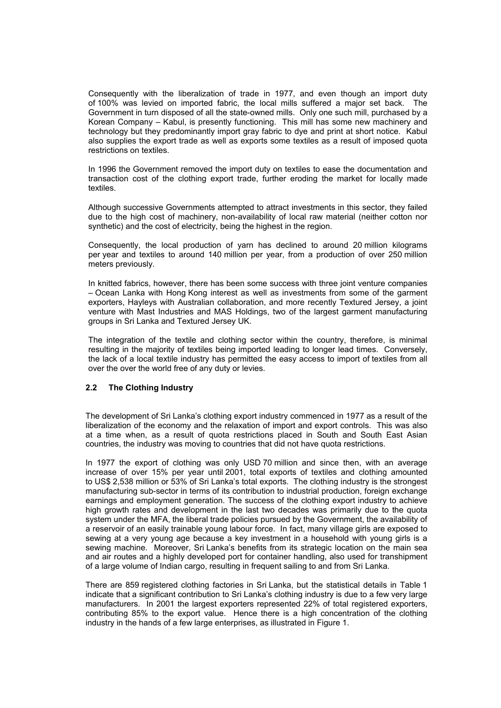Consequently with the liberalization of trade in 1977, and even though an import duty of 100% was levied on imported fabric, the local mills suffered a major set back. The Government in turn disposed of all the state-owned mills. Only one such mill, purchased by a Korean Company – Kabul, is presently functioning. This mill has some new machinery and technology but they predominantly import gray fabric to dye and print at short notice. Kabul also supplies the export trade as well as exports some textiles as a result of imposed quota restrictions on textiles.

In 1996 the Government removed the import duty on textiles to ease the documentation and transaction cost of the clothing export trade, further eroding the market for locally made textiles.

Although successive Governments attempted to attract investments in this sector, they failed due to the high cost of machinery, non-availability of local raw material (neither cotton nor synthetic) and the cost of electricity, being the highest in the region.

Consequently, the local production of yarn has declined to around 20 million kilograms per year and textiles to around 140 million per year, from a production of over 250 million meters previously.

In knitted fabrics, however, there has been some success with three joint venture companies – Ocean Lanka with Hong Kong interest as well as investments from some of the garment exporters, Hayleys with Australian collaboration, and more recently Textured Jersey, a joint venture with Mast Industries and MAS Holdings, two of the largest garment manufacturing groups in Sri Lanka and Textured Jersey UK.

The integration of the textile and clothing sector within the country, therefore, is minimal resulting in the majority of textiles being imported leading to longer lead times. Conversely, the lack of a local textile industry has permitted the easy access to import of textiles from all over the over the world free of any duty or levies.

#### **2.2 The Clothing Industry**

The development of Sri Lanka's clothing export industry commenced in 1977 as a result of the liberalization of the economy and the relaxation of import and export controls. This was also at a time when, as a result of quota restrictions placed in South and South East Asian countries, the industry was moving to countries that did not have quota restrictions.

In 1977 the export of clothing was only USD 70 million and since then, with an average increase of over 15% per year until 2001, total exports of textiles and clothing amounted to US\$ 2,538 million or 53% of Sri Lanka's total exports. The clothing industry is the strongest manufacturing sub-sector in terms of its contribution to industrial production, foreign exchange earnings and employment generation. The success of the clothing export industry to achieve high growth rates and development in the last two decades was primarily due to the quota system under the MFA, the liberal trade policies pursued by the Government, the availability of a reservoir of an easily trainable young labour force. In fact, many village girls are exposed to sewing at a very young age because a key investment in a household with young girls is a sewing machine. Moreover, Sri Lanka's benefits from its strategic location on the main sea and air routes and a highly developed port for container handling, also used for transhipment of a large volume of Indian cargo, resulting in frequent sailing to and from Sri Lanka.

There are 859 registered clothing factories in Sri Lanka, but the statistical details in Table 1 indicate that a significant contribution to Sri Lanka's clothing industry is due to a few very large manufacturers. In 2001 the largest exporters represented 22% of total registered exporters, contributing 85% to the export value. Hence there is a high concentration of the clothing industry in the hands of a few large enterprises, as illustrated in Figure 1.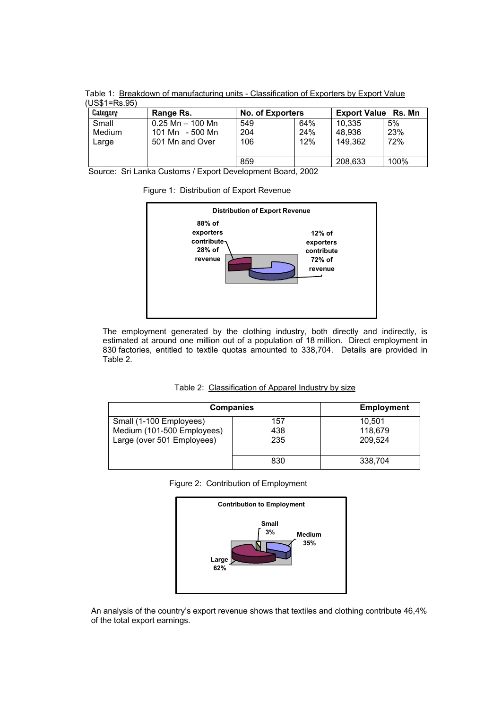Table 1: Breakdown of manufacturing units - Classification of Exporters by Export Value  $(US$1=Rs.95)$ 

| Category | Range Rs.            | <b>No. of Exporters</b> |     | <b>Export Value Rs. Mn</b> |      |  |
|----------|----------------------|-------------------------|-----|----------------------------|------|--|
| Small    | $0.25$ Mn $-$ 100 Mn | 549                     | 64% | 10.335                     | 5%   |  |
| Medium   | 101 Mn $-500$ Mn     | 204                     | 24% | 48.936                     | 23%  |  |
| Large    | 501 Mn and Over      | 106                     | 12% | 149.362                    | 72%  |  |
|          |                      |                         |     |                            |      |  |
|          |                      | 859                     |     | 208,633                    | 100% |  |

Source: Sri Lanka Customs / Export Development Board, 2002

Figure 1: Distribution of Export Revenue



The employment generated by the clothing industry, both directly and indirectly, is estimated at around one million out of a population of 18 million. Direct employment in 830 factories, entitled to textile quotas amounted to 338,704. Details are provided in Table 2.

|--|

| <b>Companies</b>           | <b>Employment</b> |         |
|----------------------------|-------------------|---------|
| Small (1-100 Employees)    | 157               | 10.501  |
| Medium (101-500 Employees) | 438               | 118,679 |
| Large (over 501 Employees) | 235               | 209.524 |
|                            |                   |         |
|                            | 830               | 338.704 |

Figure 2: Contribution of Employment



An analysis of the country's export revenue shows that textiles and clothing contribute 46,4% of the total export earnings.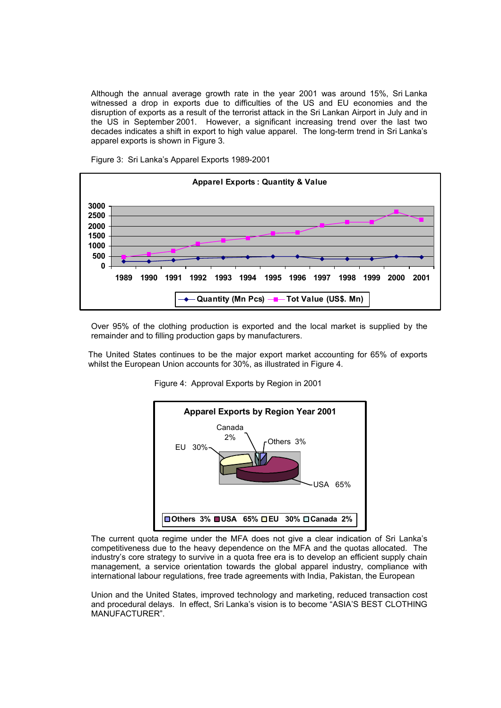Although the annual average growth rate in the year 2001 was around 15%, Sri Lanka witnessed a drop in exports due to difficulties of the US and EU economies and the disruption of exports as a result of the terrorist attack in the Sri Lankan Airport in July and in the US in September 2001. However, a significant increasing trend over the last two decades indicates a shift in export to high value apparel. The long-term trend in Sri Lanka's apparel exports is shown in Figure 3.



Figure 3: Sri Lanka's Apparel Exports 1989-2001

Over 95% of the clothing production is exported and the local market is supplied by the remainder and to filling production gaps by manufacturers.

The United States continues to be the major export market accounting for 65% of exports whilst the European Union accounts for 30%, as illustrated in Figure 4.



Figure 4: Approval Exports by Region in 2001

The current quota regime under the MFA does not give a clear indication of Sri Lanka's competitiveness due to the heavy dependence on the MFA and the quotas allocated. The industry's core strategy to survive in a quota free era is to develop an efficient supply chain management, a service orientation towards the global apparel industry, compliance with international labour regulations, free trade agreements with India, Pakistan, the European

Union and the United States, improved technology and marketing, reduced transaction cost and procedural delays. In effect, Sri Lanka's vision is to become "ASIA'S BEST CLOTHING MANUFACTURER".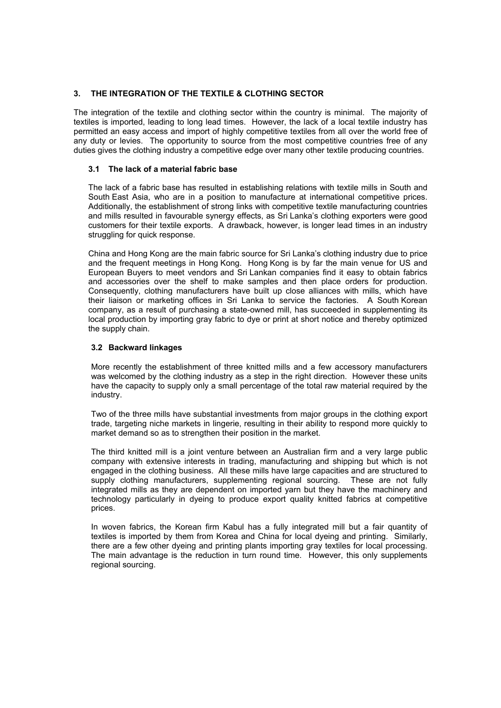### **3. THE INTEGRATION OF THE TEXTILE & CLOTHING SECTOR**

The integration of the textile and clothing sector within the country is minimal. The majority of textiles is imported, leading to long lead times. However, the lack of a local textile industry has permitted an easy access and import of highly competitive textiles from all over the world free of any duty or levies. The opportunity to source from the most competitive countries free of any duties gives the clothing industry a competitive edge over many other textile producing countries.

#### **3.1 The lack of a material fabric base**

The lack of a fabric base has resulted in establishing relations with textile mills in South and South East Asia, who are in a position to manufacture at international competitive prices. Additionally, the establishment of strong links with competitive textile manufacturing countries and mills resulted in favourable synergy effects, as Sri Lanka's clothing exporters were good customers for their textile exports. A drawback, however, is longer lead times in an industry struggling for quick response.

China and Hong Kong are the main fabric source for Sri Lanka's clothing industry due to price and the frequent meetings in Hong Kong. Hong Kong is by far the main venue for US and European Buyers to meet vendors and Sri Lankan companies find it easy to obtain fabrics and accessories over the shelf to make samples and then place orders for production. Consequently, clothing manufacturers have built up close alliances with mills, which have their liaison or marketing offices in Sri Lanka to service the factories. A South Korean company, as a result of purchasing a state-owned mill, has succeeded in supplementing its local production by importing gray fabric to dye or print at short notice and thereby optimized the supply chain.

#### **3.2 Backward linkages**

More recently the establishment of three knitted mills and a few accessory manufacturers was welcomed by the clothing industry as a step in the right direction. However these units have the capacity to supply only a small percentage of the total raw material required by the industry.

Two of the three mills have substantial investments from major groups in the clothing export trade, targeting niche markets in lingerie, resulting in their ability to respond more quickly to market demand so as to strengthen their position in the market.

The third knitted mill is a joint venture between an Australian firm and a very large public company with extensive interests in trading, manufacturing and shipping but which is not engaged in the clothing business. All these mills have large capacities and are structured to supply clothing manufacturers, supplementing regional sourcing. These are not fully integrated mills as they are dependent on imported yarn but they have the machinery and technology particularly in dyeing to produce export quality knitted fabrics at competitive prices.

In woven fabrics, the Korean firm Kabul has a fully integrated mill but a fair quantity of textiles is imported by them from Korea and China for local dyeing and printing. Similarly, there are a few other dyeing and printing plants importing gray textiles for local processing. The main advantage is the reduction in turn round time. However, this only supplements regional sourcing.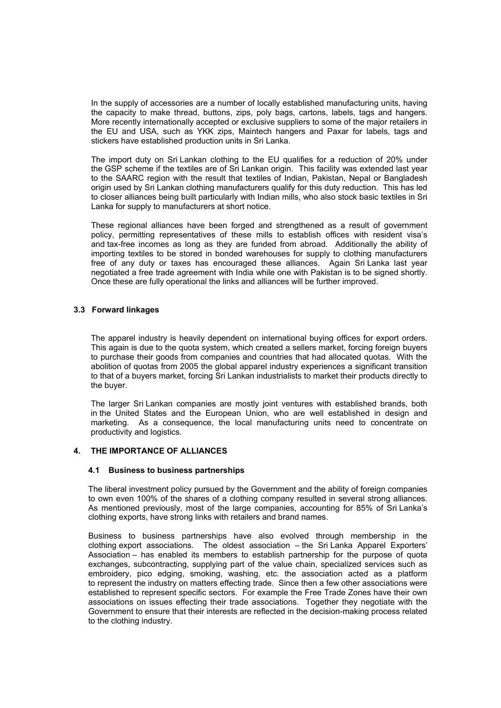In the supply of accessories are a number of locally established manufacturing units, having the capacity to make thread, buttons, zips, poly bags, cartons, labels, tags and hangers. More recently internationally accepted or exclusive suppliers to some of the major retailers in the EU and USA, such as YKK zips, Maintech hangers and Paxar for labels, tags and stickers have established production units in Sri Lanka.

The import duty on Sri Lankan clothing to the EU qualifies for a reduction of 20% under the GSP scheme if the textiles are of Sri Lankan origin. This facility was extended last year to the SAARC region with the result that textiles of Indian, Pakistan, Nepal or Bangladesh origin used by Sri Lankan clothing manufacturers qualify for this duty reduction. This has led to closer alliances being built particularly with Indian mills, who also stock basic textiles in Sri Lanka for supply to manufacturers at short notice.

These regional alliances have been forged and strengthened as a result of government policy, permitting representatives of these mills to establish offices with resident visa's and tax-free incomes as long as they are funded from abroad. Additionally the ability of importing textiles to be stored in bonded warehouses for supply to clothing manufacturers free of any duty or taxes has encouraged these alliances. Again Sri Lanka last year negotiated a free trade agreement with India while one with Pakistan is to be signed shortly. Once these are fully operational the links and alliances will be further improved.

#### **3.3 Forward linkages**

The apparel industry is heavily dependent on international buying offices for export orders. This again is due to the quota system, which created a sellers market, forcing foreign buyers to purchase their goods from companies and countries that had allocated quotas. With the abolition of quotas from 2005 the global apparel industry experiences a significant transition to that of a buyers market, forcing Sri Lankan industrialists to market their products directly to the buyer.

The larger Sri Lankan companies are mostly joint ventures with established brands, both in the United States and the European Union, who are well established in design and marketing. As a consequence, the local manufacturing units need to concentrate on productivity and logistics.

#### **4. THE IMPORTANCE OF ALLIANCES**

#### **4.1 Business to business partnerships**

The liberal investment policy pursued by the Government and the ability of foreign companies to own even 100% of the shares of a clothing company resulted in several strong alliances. As mentioned previously, most of the large companies, accounting for 85% of Sri Lanka's clothing exports, have strong links with retailers and brand names.

Business to business partnerships have also evolved through membership in the clothing export associations. The oldest association – the Sri Lanka Apparel Exporters' Association – has enabled its members to establish partnership for the purpose of quota exchanges, subcontracting, supplying part of the value chain, specialized services such as embroidery, pico edging, smoking, washing, etc. the association acted as a platform to represent the industry on matters effecting trade. Since then a few other associations were established to represent specific sectors. For example the Free Trade Zones have their own associations on issues effecting their trade associations. Together they negotiate with the Government to ensure that their interests are reflected in the decision-making process related to the clothing industry.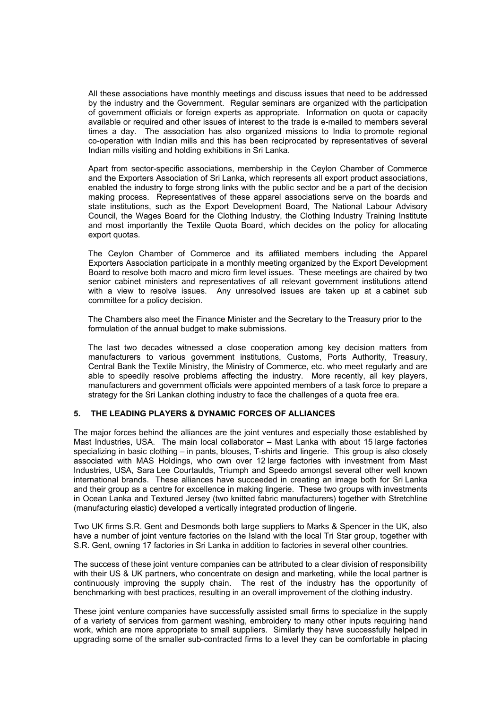All these associations have monthly meetings and discuss issues that need to be addressed by the industry and the Government. Regular seminars are organized with the participation of government officials or foreign experts as appropriate. Information on quota or capacity available or required and other issues of interest to the trade is e-mailed to members several times a day. The association has also organized missions to India to promote regional co-operation with Indian mills and this has been reciprocated by representatives of several Indian mills visiting and holding exhibitions in Sri Lanka.

Apart from sector-specific associations, membership in the Ceylon Chamber of Commerce and the Exporters Association of Sri Lanka, which represents all export product associations, enabled the industry to forge strong links with the public sector and be a part of the decision making process. Representatives of these apparel associations serve on the boards and state institutions, such as the Export Development Board, The National Labour Advisory Council, the Wages Board for the Clothing Industry, the Clothing Industry Training Institute and most importantly the Textile Quota Board, which decides on the policy for allocating export quotas.

The Ceylon Chamber of Commerce and its affiliated members including the Apparel Exporters Association participate in a monthly meeting organized by the Export Development Board to resolve both macro and micro firm level issues. These meetings are chaired by two senior cabinet ministers and representatives of all relevant government institutions attend with a view to resolve issues. Any unresolved issues are taken up at a cabinet sub committee for a policy decision.

The Chambers also meet the Finance Minister and the Secretary to the Treasury prior to the formulation of the annual budget to make submissions.

The last two decades witnessed a close cooperation among key decision matters from manufacturers to various government institutions, Customs, Ports Authority, Treasury, Central Bank the Textile Ministry, the Ministry of Commerce, etc. who meet regularly and are able to speedily resolve problems affecting the industry. More recently, all key players, manufacturers and government officials were appointed members of a task force to prepare a strategy for the Sri Lankan clothing industry to face the challenges of a quota free era.

#### **5. THE LEADING PLAYERS & DYNAMIC FORCES OF ALLIANCES**

The major forces behind the alliances are the joint ventures and especially those established by Mast Industries, USA. The main local collaborator – Mast Lanka with about 15 large factories specializing in basic clothing – in pants, blouses, T-shirts and lingerie. This group is also closely associated with MAS Holdings, who own over 12 large factories with investment from Mast Industries, USA, Sara Lee Courtaulds, Triumph and Speedo amongst several other well known international brands. These alliances have succeeded in creating an image both for Sri Lanka and their group as a centre for excellence in making lingerie. These two groups with investments in Ocean Lanka and Textured Jersey (two knitted fabric manufacturers) together with Stretchline (manufacturing elastic) developed a vertically integrated production of lingerie.

Two UK firms S.R. Gent and Desmonds both large suppliers to Marks & Spencer in the UK, also have a number of joint venture factories on the Island with the local Tri Star group, together with S.R. Gent, owning 17 factories in Sri Lanka in addition to factories in several other countries.

The success of these joint venture companies can be attributed to a clear division of responsibility with their US & UK partners, who concentrate on design and marketing, while the local partner is continuously improving the supply chain. The rest of the industry has the opportunity of benchmarking with best practices, resulting in an overall improvement of the clothing industry.

These joint venture companies have successfully assisted small firms to specialize in the supply of a variety of services from garment washing, embroidery to many other inputs requiring hand work, which are more appropriate to small suppliers. Similarly they have successfully helped in upgrading some of the smaller sub-contracted firms to a level they can be comfortable in placing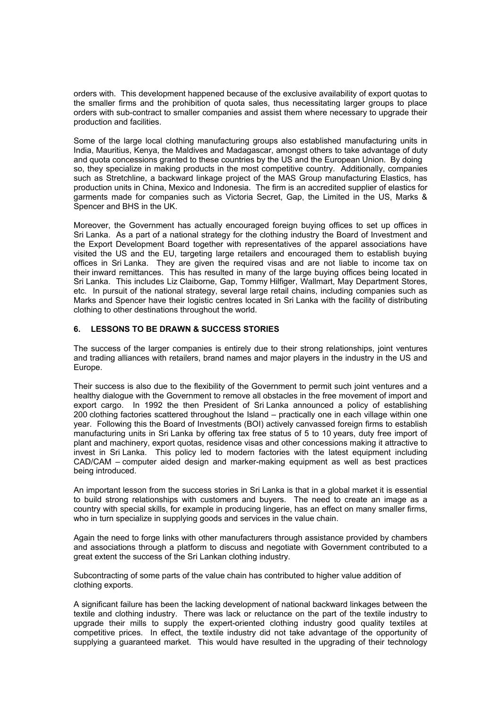orders with. This development happened because of the exclusive availability of export quotas to the smaller firms and the prohibition of quota sales, thus necessitating larger groups to place orders with sub-contract to smaller companies and assist them where necessary to upgrade their production and facilities.

Some of the large local clothing manufacturing groups also established manufacturing units in India, Mauritius, Kenya, the Maldives and Madagascar, amongst others to take advantage of duty and quota concessions granted to these countries by the US and the European Union. By doing so, they specialize in making products in the most competitive country. Additionally, companies such as Stretchline, a backward linkage project of the MAS Group manufacturing Elastics, has production units in China, Mexico and Indonesia. The firm is an accredited supplier of elastics for garments made for companies such as Victoria Secret, Gap, the Limited in the US, Marks & Spencer and BHS in the UK.

Moreover, the Government has actually encouraged foreign buying offices to set up offices in Sri Lanka. As a part of a national strategy for the clothing industry the Board of Investment and the Export Development Board together with representatives of the apparel associations have visited the US and the EU, targeting large retailers and encouraged them to establish buying offices in Sri Lanka. They are given the required visas and are not liable to income tax on their inward remittances. This has resulted in many of the large buying offices being located in Sri Lanka. This includes Liz Claiborne, Gap, Tommy Hilfiger, Wallmart, May Department Stores, etc. In pursuit of the national strategy, several large retail chains, including companies such as Marks and Spencer have their logistic centres located in Sri Lanka with the facility of distributing clothing to other destinations throughout the world.

### **6. LESSONS TO BE DRAWN & SUCCESS STORIES**

The success of the larger companies is entirely due to their strong relationships, joint ventures and trading alliances with retailers, brand names and major players in the industry in the US and Europe.

Their success is also due to the flexibility of the Government to permit such joint ventures and a healthy dialogue with the Government to remove all obstacles in the free movement of import and export cargo. In 1992 the then President of Sri Lanka announced a policy of establishing 200 clothing factories scattered throughout the Island – practically one in each village within one year. Following this the Board of Investments (BOI) actively canvassed foreign firms to establish manufacturing units in Sri Lanka by offering tax free status of 5 to 10 years, duty free import of plant and machinery, export quotas, residence visas and other concessions making it attractive to invest in Sri Lanka. This policy led to modern factories with the latest equipment including CAD/CAM – computer aided design and marker-making equipment as well as best practices being introduced.

An important lesson from the success stories in Sri Lanka is that in a global market it is essential to build strong relationships with customers and buyers. The need to create an image as a country with special skills, for example in producing lingerie, has an effect on many smaller firms, who in turn specialize in supplying goods and services in the value chain.

Again the need to forge links with other manufacturers through assistance provided by chambers and associations through a platform to discuss and negotiate with Government contributed to a great extent the success of the Sri Lankan clothing industry.

Subcontracting of some parts of the value chain has contributed to higher value addition of clothing exports.

A significant failure has been the lacking development of national backward linkages between the textile and clothing industry. There was lack or reluctance on the part of the textile industry to upgrade their mills to supply the expert-oriented clothing industry good quality textiles at competitive prices. In effect, the textile industry did not take advantage of the opportunity of supplying a guaranteed market. This would have resulted in the upgrading of their technology